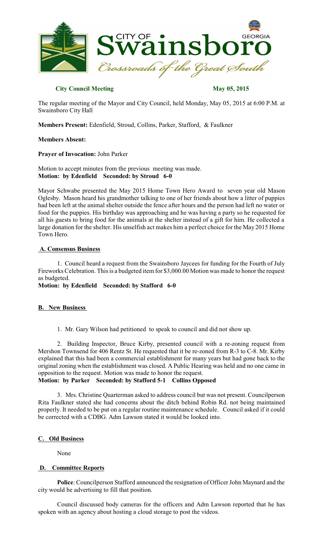

## **City Council Meeting May 05, 2015**

The regular meeting of the Mayor and City Council, held Monday, May 05, 2015 at 6:00 P.M. at Swainsboro City Hall

**Members Present:** Edenfield, Stroud, Collins, Parker, Stafford, & Faulkner

## **Members Absent:**

**Prayer of Invocation:** John Parker

Motion to accept minutes from the previous meeting was made. **Motion: by Edenfield Seconded: by Stroud 6-0**

Mayor Schwabe presented the May 2015 Home Town Hero Award to seven year old Mason Oglesby. Mason heard his grandmother talking to one of her friends about how a litter of puppies had been left at the animal shelter outside the fence after hours and the person had left no water or food for the puppies. His birthday was approaching and he was having a party so he requested for all his guests to bring food for the animals at the shelter instead of a gift for him. He collected a large donation for the shelter. His unselfish act makes him a perfect choice for the May 2015 Home Town Hero.

## **A. Consensus Business**

1. Council heard a request from the Swainsboro Jaycees for funding for the Fourth of July Fireworks Celebration. This is a budgeted item for \$3,000.00 Motion was made to honor the request as budgeted.

**Motion: by Edenfield Seconded: by Stafford 6-0**

## **B. New Business**

1. Mr. Gary Wilson had petitioned to speak to council and did not show up.

2. Building Inspector, Bruce Kirby, presented council with a re-zoning request from Mershon Townsend for 406 Rentz St. He requested that it be re-zoned from R-3 to C-8. Mr. Kirby explained that this had been a commercial establishment for many years but had gone back to the original zoning when the establishment was closed. A Public Hearing was held and no one came in opposition to the request. Motion was made to honor the request.

## **Motion: by Parker Seconded: by Stafford 5-1 Collins Opposed**

3. Mrs. Christine Quarterman asked to address council but was not present. Councilperson Rita Faulkner stated she had concerns about the ditch behind Robin Rd. not being maintained properly. It needed to be put on a regular routine maintenance schedule. Council asked if it could be corrected with a CDBG. Adm Lawson stated it would be looked into.

## **C. Old Business**

None

## **D. Committee Reports**

Police: Councilperson Stafford announced the resignation of Officer John Maynard and the city would be advertising to fill that position.

Council discussed body cameras for the officers and Adm Lawson reported that he has spoken with an agency about hosting a cloud storage to post the videos.